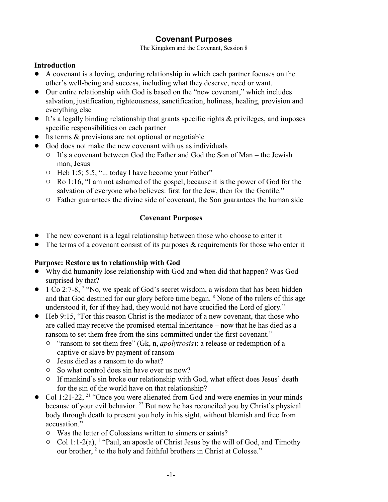# **Covenant Purposes**

The Kingdom and the Covenant, Session 8

#### **Introduction**

- ! A covenant is a loving, enduring relationship in which each partner focuses on the other's well-being and success, including what they deserve, need or want.
- Our entire relationship with God is based on the "new covenant," which includes salvation, justification, righteousness, sanctification, holiness, healing, provision and everything else
- $\bullet$  It's a legally binding relationship that grants specific rights & privileges, and imposes specific responsibilities on each partner
- Its terms & provisions are not optional or negotiable
- God does not make the new covenant with us as individuals
	- $\circ$  It's a covenant between God the Father and God the Son of Man the Jewish man, Jesus
	- Heb 1:5; 5:5, "... today I have become your Father"
	- $\circ$  Ro 1:16, "I am not ashamed of the gospel, because it is the power of God for the salvation of everyone who believes: first for the Jew, then for the Gentile."
	- " Father guarantees the divine side of covenant, the Son guarantees the human side

## **Covenant Purposes**

- The new covenant is a legal relationship between those who choose to enter it
- $\bullet$  The terms of a covenant consist of its purposes & requirements for those who enter it

#### **Purpose: Restore us to relationship with God**

- ! Why did humanity lose relationship with God and when did that happen? Was God surprised by that?
- $\bullet$  1 Co 2:7-8, <sup>7</sup> "No, we speak of God's secret wisdom, a wisdom that has been hidden and that God destined for our glory before time began. <sup>8</sup> None of the rulers of this age understood it, for if they had, they would not have crucified the Lord of glory."
- ! Heb 9:15, "For this reason Christ is the mediator of a new covenant, that those who are called may receive the promised eternal inheritance – now that he has died as a ransom to set them free from the sins committed under the first covenant."
	- " "ransom to set them free" (Gk, n, *apolytrosis*): a release or redemption of a captive or slave by payment of ransom
	- $\circ$  Jesus died as a ransom to do what?
	- $\circ$  So what control does sin have over us now?
	- $\circ$  If mankind's sin broke our relationship with God, what effect does Jesus' death for the sin of the world have on that relationship?
- Col 1:21-22, <sup>21</sup> "Once you were alienated from God and were enemies in your minds because of your evil behavior. <sup>22</sup> But now he has reconciled you by Christ's physical body through death to present you holy in his sight, without blemish and free from accusation."
	- $\circ$  Was the letter of Colossians written to sinners or saints?
	- $\circ$  Col 1:1-2(a), <sup>1</sup> "Paul, an apostle of Christ Jesus by the will of God, and Timothy our brother,<sup>2</sup> to the holy and faithful brothers in Christ at Colosse."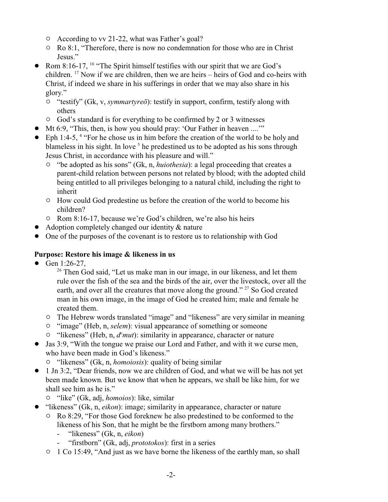- $\circ$  According to vv 21-22, what was Father's goal?
- $\circ$  Ro 8:1, "Therefore, there is now no condemnation for those who are in Christ Jesus."
- Rom 8:16-17, <sup>16</sup> "The Spirit himself testifies with our spirit that we are God's children. <sup>17</sup> Now if we are children, then we are heirs – heirs of God and co-heirs with Christ, if indeed we share in his sufferings in order that we may also share in his glory."
	- " "testify" (Gk, v, *symmartyreô*): testify in support, confirm, testify along with others
	- " God's standard is for everything to be confirmed by 2 or 3 witnesses
- Mt 6:9, "This, then, is how you should pray: 'Our Father in heaven ....'"
- $\bullet$  Eph 1:4-5, <sup>4</sup> "For he chose us in him before the creation of the world to be holy and blameless in his sight. In love <sup>5</sup> he predestined us to be adopted as his sons through Jesus Christ, in accordance with his pleasure and will."
	- " "be adopted as his sons" (Gk, n, *huiothesia*): a legal proceeding that creates a parent-child relation between persons not related by blood; with the adopted child being entitled to all privileges belonging to a natural child, including the right to inherit
	- $\circ$  How could God predestine us before the creation of the world to become his children?
	- <sup>o</sup> Rom 8:16-17, because we're God's children, we're also his heirs
- Adoption completely changed our identity & nature
- One of the purposes of the covenant is to restore us to relationship with God

### **Purpose: Restore his image & likeness in us**

- Gen  $1:26-27$ ,
	- <sup>26</sup> Then God said, "Let us make man in our image, in our likeness, and let them rule over the fish of the sea and the birds of the air, over the livestock, over all the earth, and over all the creatures that move along the ground." <sup>27</sup> So God created man in his own image, in the image of God he created him; male and female he created them.
	- <sup>o</sup> The Hebrew words translated "image" and "likeness" are very similar in meaning
	- <sup>o</sup> "image" (Heb, n, *selem*): visual appearance of something or someone
	- <sup>o</sup> "likeness" (Heb, n, *d<sup>e</sup>mut*): similarity in appearance, character or nature
- ! Jas 3:9, "With the tongue we praise our Lord and Father, and with it we curse men, who have been made in God's likeness."
	- " "likeness" (Gk, n, *homoiosis*): quality of being similar
- ! 1 Jn 3:2, "Dear friends, now we are children of God, and what we will be has not yet been made known. But we know that when he appears, we shall be like him, for we shall see him as he is."
	- " "like" (Gk, adj, *homoios*): like, similar
- ! "likeness" (Gk, n, *eikon*): image; similarity in appearance, character or nature
	- <sup>o</sup> Ro 8:29, "For those God foreknew he also predestined to be conformed to the likeness of his Son, that he might be the firstborn among many brothers."
		- "likeness" (Gk, n, *eikon*)
		- "firstborn" (Gk, adj, *prototokos*): first in a series
	- $\circ$  1 Co 15:49, "And just as we have borne the likeness of the earthly man, so shall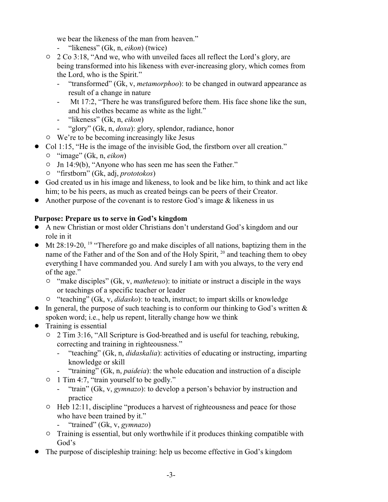we bear the likeness of the man from heaven."

- "likeness" (Gk, n, *eikon*) (twice)
- $\degree$  2 Co 3:18, "And we, who with unveiled faces all reflect the Lord's glory, are being transformed into his likeness with ever-increasing glory, which comes from the Lord, who is the Spirit."
	- "transformed" (Gk, v, *metamorphoo*): to be changed in outward appearance as result of a change in nature
	- Mt 17:2, "There he was transfigured before them. His face shone like the sun, and his clothes became as white as the light."
	- "likeness" (Gk, n, *eikon*)
	- "glory" (Gk, n, *doxa*): glory, splendor, radiance, honor
- $\circ$  We're to be becoming increasingly like Jesus
- Col 1:15, "He is the image of the invisible God, the firstborn over all creation."
	- " "image" (Gk, n, *eikon*)
	- " Jn 14:9(b), "Anyone who has seen me has seen the Father."
	- " "firstborn" (Gk, adj, *prototokos*)
- ! God created us in his image and likeness, to look and be like him, to think and act like him; to be his peers, as much as created beings can be peers of their Creator.
- Another purpose of the covenant is to restore God's image  $\&$  likeness in us

### **Purpose: Prepare us to serve in God's kingdom**

- ! A new Christian or most older Christians don't understand God's kingdom and our role in it
- $\bullet$  Mt 28:19-20, <sup>19</sup> "Therefore go and make disciples of all nations, baptizing them in the name of the Father and of the Son and of the Holy Spirit, <sup>20</sup> and teaching them to obey everything I have commanded you. And surely I am with you always, to the very end of the age."
	- <sup>o</sup> "make disciples" (Gk, v, *matheteuo*): to initiate or instruct a disciple in the ways or teachings of a specific teacher or leader
	- " "teaching" (Gk, v, *didasko*): to teach, instruct; to impart skills or knowledge
- $\bullet$  In general, the purpose of such teaching is to conform our thinking to God's written  $\&$ spoken word; i.e., help us repent, literally change how we think
- $\bullet$  Training is essential
	- $\circ$  2 Tim 3:16, "All Scripture is God-breathed and is useful for teaching, rebuking, correcting and training in righteousness."
		- "teaching" (Gk, n, *didaskalia*): activities of educating or instructing, imparting knowledge or skill
		- "training" (Gk, n, *paideia*): the whole education and instruction of a disciple
	- <sup>o</sup> 1 Tim 4:7, "train yourself to be godly."
		- "train" (Gk, v, *gymnazo*): to develop a person's behavior by instruction and practice
	- $\circ$  Heb 12:11, discipline "produces a harvest of righteousness and peace for those who have been trained by it."
		- "trained" (Gk, v, *gymnazo*)
	- $\circ$  Training is essential, but only worthwhile if it produces thinking compatible with God's
- ! The purpose of discipleship training: help us become effective in God's kingdom